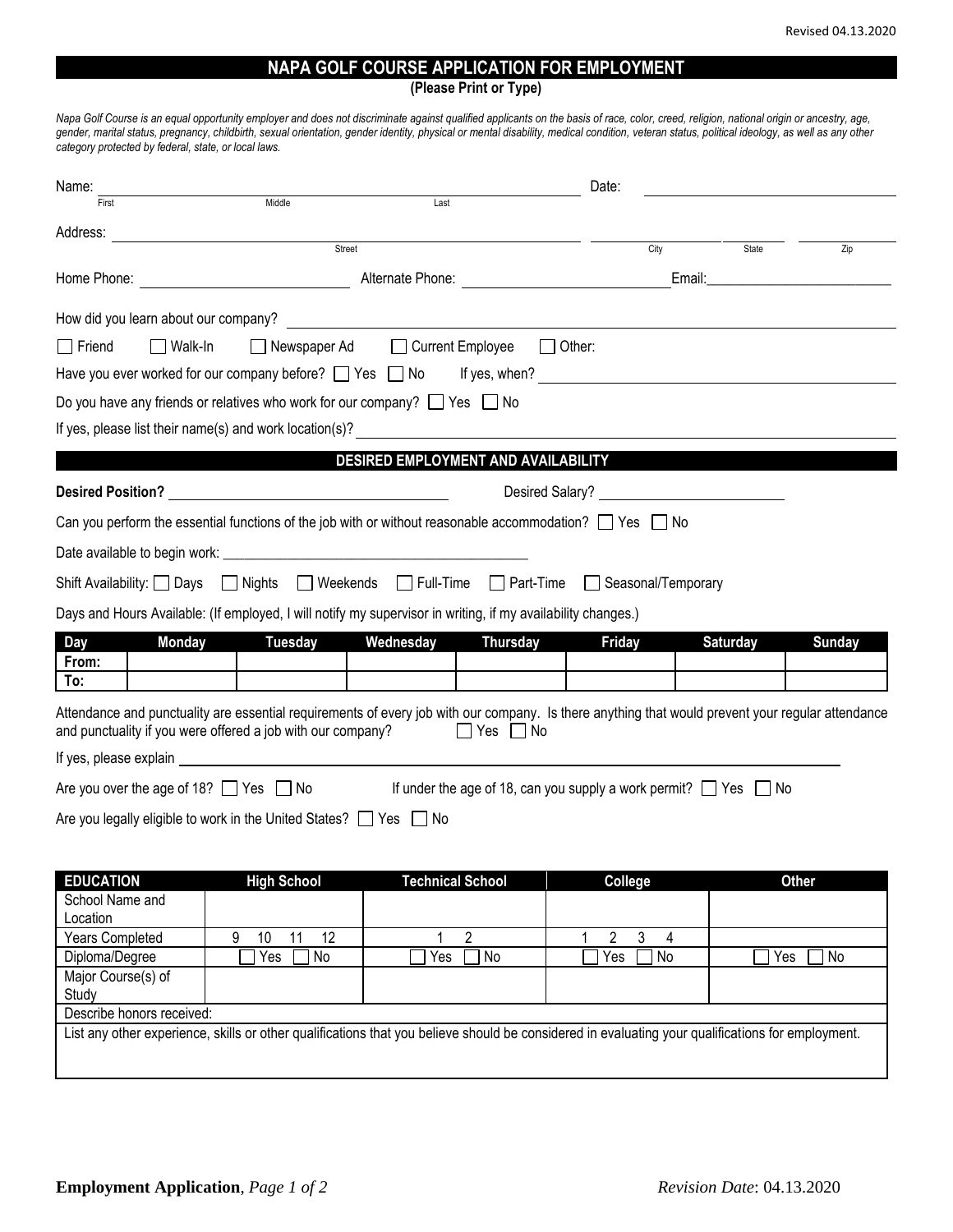## **NAPA GOLF COURSE APPLICATION FOR EMPLOYMENT**

**(Please Print or Type)**

*Napa Golf Course is an equal opportunity employer and does not discriminate against qualified applicants on the basis of race, color, creed, religion, national origin or ancestry, age, gender, marital status, pregnancy, childbirth, sexual orientation, gender identity, physical or mental disability, medical condition, veteran status, political ideology, as well as any other category protected by federal, state, or local laws.* 

| Name:                           |                                                                                                                                                                                                                                |                                                                                                                                                                                                                                | Date:                                                                      |                                                                                                                                                   |  |  |
|---------------------------------|--------------------------------------------------------------------------------------------------------------------------------------------------------------------------------------------------------------------------------|--------------------------------------------------------------------------------------------------------------------------------------------------------------------------------------------------------------------------------|----------------------------------------------------------------------------|---------------------------------------------------------------------------------------------------------------------------------------------------|--|--|
| First                           | Middle                                                                                                                                                                                                                         | Last                                                                                                                                                                                                                           |                                                                            |                                                                                                                                                   |  |  |
|                                 |                                                                                                                                                                                                                                |                                                                                                                                                                                                                                | City                                                                       |                                                                                                                                                   |  |  |
|                                 | Street                                                                                                                                                                                                                         |                                                                                                                                                                                                                                |                                                                            | State<br>Zip                                                                                                                                      |  |  |
|                                 | Email: Email: Email: Email: Email: Email: Email: Email: Email: Email: Email: Email: Email: Email: Email: Email: Email: Email: Email: Email: Email: Email: Email: Email: Email: Email: Email: Email: Email: Email: Email: Email |                                                                                                                                                                                                                                |                                                                            |                                                                                                                                                   |  |  |
|                                 |                                                                                                                                                                                                                                |                                                                                                                                                                                                                                |                                                                            |                                                                                                                                                   |  |  |
| $\Box$ Walk-In<br>$\Box$ Friend |                                                                                                                                                                                                                                | □ Newspaper Ad □ Current Employee                                                                                                                                                                                              | $\Box$ Other:                                                              |                                                                                                                                                   |  |  |
|                                 |                                                                                                                                                                                                                                |                                                                                                                                                                                                                                |                                                                            |                                                                                                                                                   |  |  |
|                                 | Do you have any friends or relatives who work for our company? $\Box$ Yes $\Box$ No                                                                                                                                            |                                                                                                                                                                                                                                |                                                                            |                                                                                                                                                   |  |  |
|                                 |                                                                                                                                                                                                                                |                                                                                                                                                                                                                                |                                                                            |                                                                                                                                                   |  |  |
|                                 |                                                                                                                                                                                                                                | DESIRED EMPLOYMENT AND AVAILABILITY                                                                                                                                                                                            |                                                                            |                                                                                                                                                   |  |  |
|                                 |                                                                                                                                                                                                                                |                                                                                                                                                                                                                                |                                                                            |                                                                                                                                                   |  |  |
|                                 |                                                                                                                                                                                                                                | Desired Salary?                                                                                                                                                                                                                |                                                                            |                                                                                                                                                   |  |  |
|                                 |                                                                                                                                                                                                                                | Can you perform the essential functions of the job with or without reasonable accommodation? $\Box$ Yes $\Box$ No                                                                                                              |                                                                            |                                                                                                                                                   |  |  |
|                                 |                                                                                                                                                                                                                                |                                                                                                                                                                                                                                |                                                                            |                                                                                                                                                   |  |  |
|                                 |                                                                                                                                                                                                                                | Shift Availability: Days Nights Neekends Full-Time Part-Time                                                                                                                                                                   | Seasonal/Temporary                                                         |                                                                                                                                                   |  |  |
|                                 |                                                                                                                                                                                                                                | Days and Hours Available: (If employed, I will notify my supervisor in writing, if my availability changes.)                                                                                                                   |                                                                            |                                                                                                                                                   |  |  |
| <b>Day</b><br>Monday            | Tuesday                                                                                                                                                                                                                        | Wednesday<br><b>Thursday</b>                                                                                                                                                                                                   | <b>Friday</b>                                                              | <b>Saturday</b><br>Sunday                                                                                                                         |  |  |
| From:                           |                                                                                                                                                                                                                                |                                                                                                                                                                                                                                |                                                                            |                                                                                                                                                   |  |  |
| To:                             |                                                                                                                                                                                                                                |                                                                                                                                                                                                                                |                                                                            |                                                                                                                                                   |  |  |
|                                 | and punctuality if you were offered a job with our company?                                                                                                                                                                    | Yes    No                                                                                                                                                                                                                      |                                                                            | Attendance and punctuality are essential requirements of every job with our company. Is there anything that would prevent your regular attendance |  |  |
|                                 |                                                                                                                                                                                                                                | If yes, please explain example and the state of the state of the state of the state of the state of the state of the state of the state of the state of the state of the state of the state of the state of the state of the s |                                                                            |                                                                                                                                                   |  |  |
|                                 | Are you over the age of 18? $\Box$ Yes $\Box$ No                                                                                                                                                                               |                                                                                                                                                                                                                                | If under the age of 18, can you supply a work permit? $\Box$ Yes $\Box$ No |                                                                                                                                                   |  |  |
|                                 | Are you legally eligible to work in the United States? $\Box$ Yes $\Box$ No                                                                                                                                                    |                                                                                                                                                                                                                                |                                                                            |                                                                                                                                                   |  |  |
|                                 |                                                                                                                                                                                                                                |                                                                                                                                                                                                                                |                                                                            |                                                                                                                                                   |  |  |
|                                 |                                                                                                                                                                                                                                |                                                                                                                                                                                                                                |                                                                            |                                                                                                                                                   |  |  |
| <b>EDUCATION</b>                | <b>High School</b>                                                                                                                                                                                                             | <b>Technical School</b>                                                                                                                                                                                                        | College                                                                    | <b>Other</b>                                                                                                                                      |  |  |
| School Name and<br>Location     |                                                                                                                                                                                                                                |                                                                                                                                                                                                                                |                                                                            |                                                                                                                                                   |  |  |
| Years Completed                 | $\overline{11}$<br>$\overline{12}$<br>9<br>10                                                                                                                                                                                  | $\overline{2}$<br>1                                                                                                                                                                                                            | $\overline{3}$<br>$\overline{2}$<br>$\overline{4}$<br>1                    |                                                                                                                                                   |  |  |
| Diploma/Degree                  | Yes<br>$\mathsf{No}$                                                                                                                                                                                                           | No<br>Yes                                                                                                                                                                                                                      | No<br>Yes                                                                  | Yes<br>No                                                                                                                                         |  |  |
| Major Course(s) of<br>Study     |                                                                                                                                                                                                                                |                                                                                                                                                                                                                                |                                                                            |                                                                                                                                                   |  |  |

Describe honors received:

List any other experience, skills or other qualifications that you believe should be considered in evaluating your qualifications for employment.